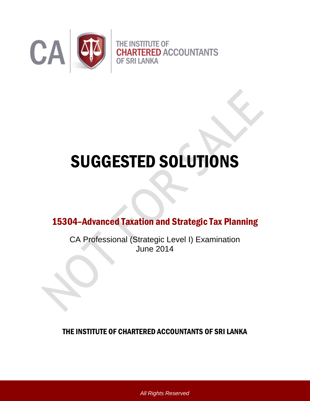

# SUGGESTED SOLUTIONS

15304–Advanced Taxation and Strategic Tax Planning

CA Professional (Strategic Level I) Examination June 2014

THE INSTITUTE OF CHARTERED ACCOUNTANTS OF SRI LANKA

*All Rights Reserved*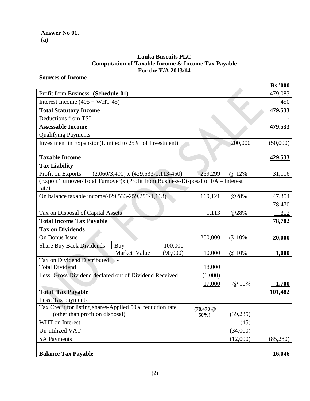## **Lanka Buscuits PLC Computation of Taxable Income & Income Tax Payable For the Y/A 2013/14**

## **Sources of Income**

|                                                                                            |          |                 |           | <b>Rs.'000</b> |
|--------------------------------------------------------------------------------------------|----------|-----------------|-----------|----------------|
| Profit from Business- (Schedule-01)                                                        |          |                 |           | 479,083        |
| Interest Income $(405 + WHT 45)$                                                           |          |                 |           | 450            |
| <b>Total Statutory Income</b>                                                              |          |                 |           | 479,533        |
| Deductions from TSI                                                                        |          |                 |           |                |
| <b>Assessable Income</b>                                                                   |          |                 |           | 479,533        |
| <b>Qualifying Payments</b>                                                                 |          |                 |           |                |
| Investment in Expansion(Limited to 25% of Investment)                                      |          |                 | 200,000   | (50,000)       |
| <b>Taxable Income</b>                                                                      |          |                 |           | <u>429,533</u> |
| <b>Tax Liability</b>                                                                       |          |                 |           |                |
| $(2,060/3,400)$ x $(429,533-1,113-450)$<br>Profit on Exports                               |          | 259,299         | @ 12%     | 31,116         |
| (Export Turnover/Total Turnover)x (Profit from Business-Disposal of FA - Interest<br>rate) |          |                 |           |                |
| On balance taxable income(429,533-259,299-1,113)                                           |          | 169,121         | @28%      | 47,354         |
|                                                                                            |          |                 |           | 78,470         |
| Tax on Disposal of Capital Assets                                                          |          | 1,113           | @28%      | 312            |
| <b>Total Income Tax Payable</b>                                                            |          |                 |           | 78,782         |
| <b>Tax on Dividends</b>                                                                    |          |                 |           |                |
| On Bonus Issue                                                                             |          | 200,000         | @ 10%     | 20,000         |
| <b>Share Buy Back Dividends</b><br>Buy                                                     | 100,000  |                 |           |                |
| Market Value                                                                               | (90,000) | 10,000          | @ 10%     | 1,000          |
| Tax on Dividend Distributed<br><b>Total Dividend</b>                                       |          | 18,000          |           |                |
| Less: Gross Dividend declared out of Dividend Received                                     |          | (1,000)         |           |                |
|                                                                                            |          | 17,000          | @ 10%     | 1,700          |
| <b>Total Tax Payable</b>                                                                   |          |                 |           | 101,482        |
| Less: Tax payments                                                                         |          |                 |           |                |
| Tax Credit for listing shares-Applied 50% reduction rate                                   |          | $(78, 470 \; @$ |           |                |
| (other than profit on disposal)<br>50%                                                     |          |                 | (39, 235) |                |
| WHT on Interest                                                                            |          |                 | (45)      |                |
| Un-utilized VAT<br>(34,000)                                                                |          |                 |           |                |
| <b>SA Payments</b>                                                                         |          |                 | (12,000)  | (85,280)       |
|                                                                                            |          |                 |           |                |
| <b>Balance Tax Payable</b>                                                                 |          |                 |           | 16,046         |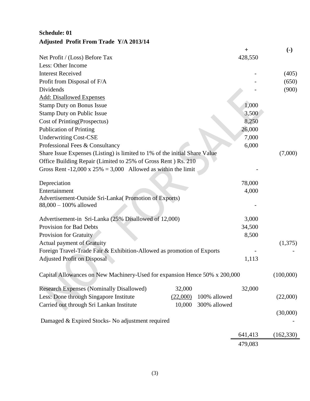# **Schedule: 01 Adjusted Profit From Trade Y/A 2013/14**

|                                                                                |          |              | $\ddot{}$ | $\left( \text{-} \right)$ |
|--------------------------------------------------------------------------------|----------|--------------|-----------|---------------------------|
| Net Profit / (Loss) Before Tax                                                 |          |              | 428,550   |                           |
| Less: Other Income                                                             |          |              |           |                           |
| <b>Interest Received</b>                                                       |          |              |           | (405)                     |
| Profit from Disposal of F/A                                                    |          |              |           | (650)                     |
| Dividends                                                                      |          |              |           | (900)                     |
| <b>Add: Disallowed Expenses</b>                                                |          |              |           |                           |
| <b>Stamp Duty on Bonus Issue</b>                                               |          |              | 1,000     |                           |
| <b>Stamp Duty on Public Issue</b>                                              |          |              | 3,500     |                           |
| Cost of Printing (Prospectus)                                                  |          |              | 8,250     |                           |
| <b>Publication of Printing</b>                                                 |          |              | 26,000    |                           |
| <b>Underwriting Cost-CSE</b>                                                   |          |              | 7,000     |                           |
| Professional Fees & Consultancy                                                |          |              | 6,000     |                           |
| Share Issue Expenses (Listing) is limited to 1% of the initial Share Value     |          |              |           | (7,000)                   |
| Office Building Repair (Limited to 25% of Gross Rent) Rs. 210                  |          |              |           |                           |
| Gross Rent -12,000 x 25% = 3,000 Allowed as within the limit                   |          |              |           |                           |
| Depreciation                                                                   |          |              | 78,000    |                           |
| Entertainment                                                                  |          |              | 4,000     |                           |
| Advertisement-Outside Sri-Lanka(Promotion of Exports)<br>88,000 - 100% allowed |          |              |           |                           |
| Advertisement-in Sri-Lanka (25% Disallowed of 12,000)                          |          |              | 3,000     |                           |
| <b>Provision for Bad Debts</b>                                                 |          |              | 34,500    |                           |
| Provision for Gratuity                                                         |          |              | 8,500     |                           |
| <b>Actual payment of Gratuity</b>                                              |          |              |           | (1,375)                   |
| Foreign Travel-Trade Fair & Exhibition-Allowed as promotion of Exports         |          |              |           |                           |
| <b>Adjusted Profit on Disposal</b>                                             |          |              | 1,113     |                           |
| Capital Allowances on New Machinery-Used for expansion Hence 50% x 200,000     |          |              |           | (100,000)                 |
| <b>Research Expenses (Nominally Disallowed)</b>                                | 32,000   |              | 32,000    |                           |
| Less: Done through Singapore Institute                                         | (22,000) | 100% allowed |           | (22,000)                  |
| Carried out through Sri Lankan Institute                                       | 10,000   | 300% allowed |           |                           |
|                                                                                |          |              |           | (30,000)                  |
| Damaged & Expired Stocks- No adjustment required                               |          |              |           |                           |
|                                                                                |          |              | 641,413   | (162, 330)                |
|                                                                                |          |              | 479,083   |                           |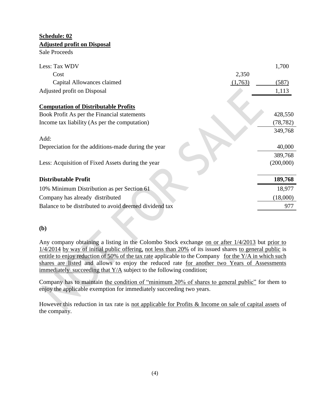# **Schedule: 02 Adjusted profit on Disposal**

Sale Proceeds

| Less: Tax WDV                                          | 1,700     |
|--------------------------------------------------------|-----------|
| Cost<br>2,350                                          |           |
| Capital Allowances claimed<br>(1,763)                  | (587)     |
| Adjusted profit on Disposal                            | 1,113     |
| <b>Computation of Distributable Profits</b>            |           |
| Book Profit As per the Financial statements            | 428,550   |
| Income tax liability (As per the computation)          | (78, 782) |
| Add:                                                   | 349,768   |
| Depreciation for the additions-made during the year    | 40,000    |
|                                                        | 389,768   |
| Less: Acquisition of Fixed Assets during the year      | (200,000) |
|                                                        |           |
| <b>Distributable Profit</b>                            | 189,768   |
| 10% Minimum Distribution as per Section 61             | 18,977    |
| Company has already distributed                        | (18,000)  |
| Balance to be distributed to avoid deemed dividend tax | 977       |

## **(b)**

Any company obtaining a listing in the Colombo Stock exchange on or after 1/4/2013 but prior to 1/4/2014 by way of initial public offering, not less than 20% of its issued shares to general public is entitle to enjoy reduction of 50% of the tax rate applicable to the Company for the Y/A in which such shares are listed and allows to enjoy the reduced rate for another two Years of Assessments immediately succeeding that Y/A subject to the following condition;

Company has to maintain the condition of "minimum 20% of shares to general public" for them to enjoy the applicable exemption for immediately succeeding two years.

However this reduction in tax rate is not applicable for Profits & Income on sale of capital assets of the company.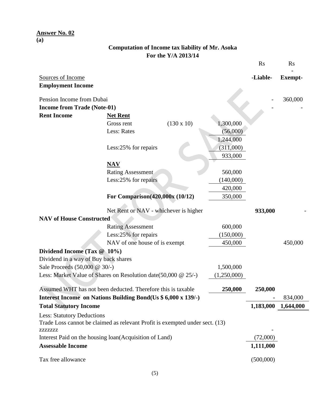#### **Answer No. 02 (a)**

## **Computation of Income tax liability of Mr. Asoka For the Y/A 2013/14**

|                                               |                                                                              |                   |             | <b>Rs</b> | <b>Rs</b>      |
|-----------------------------------------------|------------------------------------------------------------------------------|-------------------|-------------|-----------|----------------|
| Sources of Income<br><b>Employment Income</b> |                                                                              |                   |             | -Liable-  | <b>Exempt-</b> |
| Pension Income from Dubai                     |                                                                              |                   |             |           | 360,000        |
| <b>Income from Trade (Note-01)</b>            |                                                                              |                   |             |           |                |
| <b>Rent Income</b>                            | <b>Net Rent</b>                                                              |                   |             |           |                |
|                                               | Gross rent                                                                   | $(130 \times 10)$ | 1,300,000   |           |                |
|                                               | Less: Rates                                                                  |                   | (56,000)    |           |                |
|                                               |                                                                              |                   | 1,244,000   |           |                |
|                                               | Less:25% for repairs                                                         |                   | (311,000)   |           |                |
|                                               |                                                                              |                   | 933,000     |           |                |
|                                               | $\overline{\text{NAV}}$                                                      |                   |             |           |                |
|                                               | <b>Rating Assessment</b>                                                     |                   | 560,000     |           |                |
|                                               | Less:25% for repairs                                                         |                   | (140,000)   |           |                |
|                                               |                                                                              |                   | 420,000     |           |                |
|                                               | For Comparison(420,000x (10/12)                                              |                   | 350,000     |           |                |
|                                               |                                                                              |                   |             |           |                |
|                                               | Net Rent or NAV - whichever is higher                                        |                   |             | 933,000   |                |
| <b>NAV of House Constructed</b>               |                                                                              |                   |             |           |                |
|                                               | <b>Rating Assessment</b>                                                     |                   | 600,000     |           |                |
|                                               | Less:25% for repairs                                                         |                   | (150,000)   |           |                |
|                                               | NAV of one house of is exempt                                                |                   | 450,000     |           | 450,000        |
| Dividend Income (Tax @ 10%)                   |                                                                              |                   |             |           |                |
| Dividend in a way of Buy back shares          |                                                                              |                   |             |           |                |
| Sale Proceeds (50,000 @ 30/-)                 |                                                                              |                   | 1,500,000   |           |                |
|                                               | Less: Market Value of Shares on Resolution date(50,000 @ 25/-)               |                   | (1,250,000) |           |                |
|                                               | Assumed WHT has not been deducted. Therefore this is taxable                 |                   | 250,000     | 250,000   |                |
|                                               | Interest Income on Nations Building Bond(Us \$ 6,000 x 139/-)                |                   |             |           | 834,000        |
| <b>Total Statutory Income</b>                 |                                                                              |                   |             | 1,183,000 | 1,644,000      |
| <b>Less: Statutory Deductions</b>             | Trade Loss cannot be claimed as relevant Profit is exempted under sect. (13) |                   |             |           |                |
| <b>ZZZZZZZZZ</b>                              | Interest Paid on the housing loan(Acquisition of Land)                       |                   |             | (72,000)  |                |
| <b>Assessable Income</b>                      |                                                                              |                   |             | 1,111,000 |                |
|                                               |                                                                              |                   |             |           |                |
| Tax free allowance                            |                                                                              |                   |             | (500,000) |                |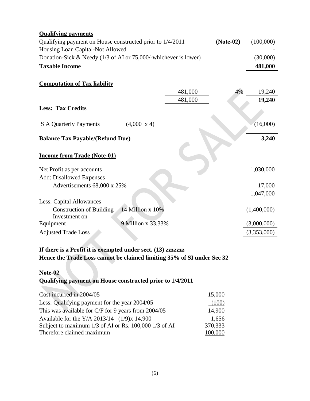| <b>Qualifying payments</b>                                               |         |    |             |  |
|--------------------------------------------------------------------------|---------|----|-------------|--|
| $(Note-02)$<br>Qualifying payment on House constructed prior to 1/4/2011 |         |    |             |  |
| Housing Loan Capital-Not Allowed                                         |         |    |             |  |
| Donation-Sick & Needy $(1/3$ of AI or 75,000/-whichever is lower)        |         |    | (30,000)    |  |
| <b>Taxable Income</b>                                                    |         |    | 481,000     |  |
|                                                                          |         |    |             |  |
| <b>Computation of Tax liability</b>                                      |         |    |             |  |
|                                                                          | 481,000 | 4% | 19,240      |  |
|                                                                          | 481,000 |    | 19,240      |  |
| <b>Less: Tax Credits</b>                                                 |         |    |             |  |
|                                                                          |         |    |             |  |
| $(4,000 \text{ x } 4)$<br><b>S</b> A Quarterly Payments                  |         |    | (16,000)    |  |
| <b>Balance Tax Payable/(Refund Due)</b>                                  |         |    | 3,240       |  |
|                                                                          |         |    |             |  |
| <b>Income from Trade (Note-01)</b>                                       |         |    |             |  |
|                                                                          |         |    |             |  |
| Net Profit as per accounts                                               |         |    | 1,030,000   |  |
| <b>Add: Disallowed Expenses</b>                                          |         |    |             |  |
| Advertisements 68,000 x 25%                                              |         |    | 17,000      |  |
|                                                                          |         |    | 1,047,000   |  |
| <b>Less: Capital Allowances</b>                                          |         |    |             |  |
| 14 Million x 10%<br><b>Construction of Building</b>                      |         |    | (1,400,000) |  |
| Investment on                                                            |         |    |             |  |
| 9 Million x 33.33%<br>Equipment                                          |         |    | (3,000,000) |  |
| <b>Adjusted Trade Loss</b>                                               |         |    | (3,353,000) |  |
|                                                                          |         |    |             |  |

## **If there is a Profit it is exempted under sect. (13) zzzzzzz Hence the Trade Loss cannot be claimed limiting 35% of SI under Sec 32**

#### **Note-02**

## **Qualifying payment on House constructed prior to 1/4/2011**

| Cost incurred in 2004/05                              | 15,000  |
|-------------------------------------------------------|---------|
| Less: Qualifying payment for the year 2004/05         | (100)   |
| This was available for C/F for 9 years from 2004/05   | 14,900  |
| Available for the Y/A 2013/14 (1/9)x 14,900           | 1,656   |
| Subject to maximum 1/3 of AI or Rs. 100,000 1/3 of AI | 370,333 |
| Therefore claimed maximum                             | 100,000 |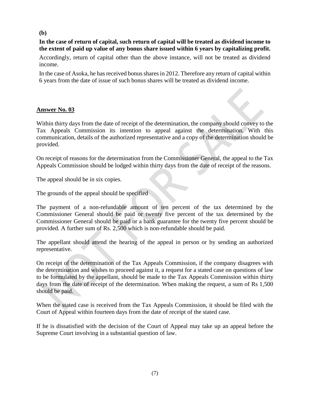### **(b)**

## **In the case of return of capital, such return of capital will be treated as dividend income to the extent of paid up value of any bonus share issued within 6 years by capitalizing profit.**

Accordingly, return of capital other than the above instance, will not be treated as dividend income.

In the case of Asoka, he has received bonus shares in 2012. Therefore any return of capital within 6 years from the date of issue of such bonus shares will be treated as dividend income.

#### **Answer No. 03**

Within thirty days from the date of receipt of the determination, the company should convey to the Tax Appeals Commission its intention to appeal against the determination. With this communication, details of the authorized representative and a copy of the determination should be provided.

On receipt of reasons for the determination from the Commissioner General, the appeal to the Tax Appeals Commission should be lodged within thirty days from the date of receipt of the reasons.

The appeal should be in six copies.

The grounds of the appeal should be specified

The payment of a non-refundable amount of ten percent of the tax determined by the Commissioner General should be paid or twenty five percent of the tax determined by the Commissioner General should be paid or a bank guarantee for the twenty five percent should be provided. A further sum of Rs. 2,500 which is non-refundable should be paid.

The appellant should attend the hearing of the appeal in person or by sending an authorized representative.

On receipt of the determination of the Tax Appeals Commission, if the company disagrees with the determination and wishes to proceed against it, a request for a stated case on questions of law to be formulated by the appellant, should be made to the Tax Appeals Commission within thirty days from the date of receipt of the determination. When making the request, a sum of Rs 1,500 should be paid.

When the stated case is received from the Tax Appeals Commission, it should be filed with the Court of Appeal within fourteen days from the date of receipt of the stated case.

If he is dissatisfied with the decision of the Court of Appeal may take up an appeal before the Supreme Court involving in a substantial question of law.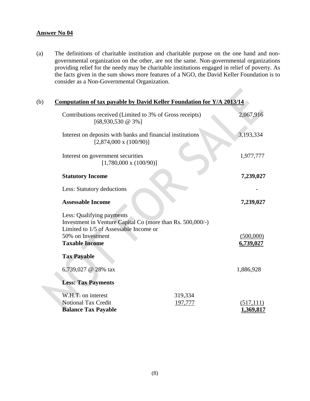### **Answer No 04**

(a) The definitions of charitable institution and charitable purpose on the one hand and nongovernmental organization on the other, are not the same. Non-governmental organizations providing relief for the needy may be charitable institutions engaged in relief of poverty. As the facts given in the sum shows more features of a NGO, the David Keller Foundation is to consider as a Non-Governmental Organization.

| (b) | Computation of tax payable by David Keller Foundation for Y/A 2013/14                                                             |                    |                        |
|-----|-----------------------------------------------------------------------------------------------------------------------------------|--------------------|------------------------|
|     | Contributions received (Limited to 3% of Gross receipts)<br>$[68,930,530 \; \textcircled{a} \; 3\%]$                              |                    | 2,067,916              |
|     | Interest on deposits with banks and financial institutions<br>$[2,874,000 \times (100/90)]$                                       |                    | 3,193,334              |
|     | Interest on government securities<br>$[1,780,000 \times (100/90)]$                                                                |                    | 1,977,777              |
|     | <b>Statutory Income</b>                                                                                                           |                    | 7,239,027              |
|     | Less: Statutory deductions                                                                                                        |                    |                        |
|     | <b>Assessable Income</b>                                                                                                          |                    | 7,239,027              |
|     | Less: Qualifying payments<br>Investment in Venture Capital Co (more than Rs. 500,000/-)<br>Limited to 1/5 of Assessable Income or |                    |                        |
|     | 50% on Investment<br><b>Taxable Income</b>                                                                                        |                    | (500,000)<br>6,739,027 |
|     | <b>Tax Payable</b>                                                                                                                |                    |                        |
|     | 6,739,027 @ 28% tax                                                                                                               |                    | 1,886,928              |
|     | <b>Less: Tax Payments</b>                                                                                                         |                    |                        |
|     | W.H.T. on interest<br><b>Notional Tax Credit</b>                                                                                  | 319,334<br>197,777 | (517, 111)             |
|     | <b>Balance Tax Payable</b>                                                                                                        |                    | <u>1,369,817</u>       |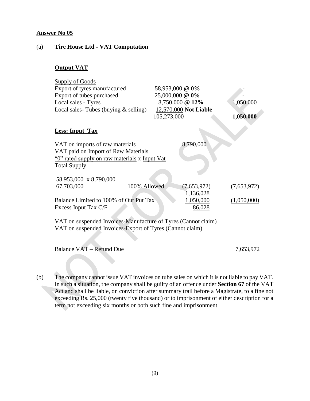### **Answer No 05**

#### (a) **Tire House Ltd - VAT Computation**

## **Output VAT**

| <b>Supply of Goods</b>                                        |              |                       |             |
|---------------------------------------------------------------|--------------|-----------------------|-------------|
| Export of tyres manufactured                                  |              | 58,953,000 @ 0%       |             |
| Export of tubes purchased                                     |              | 25,000,000 @ 0%       |             |
| Local sales - Tyres                                           |              | 8,750,000 @ 12%       | 1,050,000   |
| Local sales-Tubes (buying $&$ selling)                        |              | 12,570,000 Not Liable |             |
|                                                               | 105,273,000  |                       | 1,050,000   |
| <b>Less: Input Tax</b>                                        |              |                       |             |
| VAT on imports of raw materials                               |              | 8,790,000             |             |
| VAT paid on Import of Raw Materials                           |              |                       |             |
| "O" rated supply on raw materials x Input Vat                 |              |                       |             |
| <b>Total Supply</b>                                           |              |                       |             |
|                                                               |              |                       |             |
| 58,953,000 x 8,790,000                                        |              |                       |             |
| 67,703,000                                                    | 100% Allowed | (7,653,972)           | (7,653,972) |
|                                                               |              | 1,136,028             |             |
| Balance Limited to 100% of Out Put Tax                        |              | 1,050,000             | (1,050,000) |
| Excess Input Tax C/F                                          |              | 86,028                |             |
| VAT on suspended Invoices-Manufacture of Tyres (Cannot claim) |              |                       |             |
| VAT on suspended Invoices-Export of Tyres (Cannot claim)      |              |                       |             |
|                                                               |              |                       |             |
|                                                               |              |                       |             |

Balance VAT – Refund Due 7,653,972

(b) The company cannot issue VAT invoices on tube sales on which it is not liable to pay VAT. In such a situation, the company shall be guilty of an offence under **Section 67** of the VAT Act and shall be liable, on conviction after summary trail before a Magistrate, to a fine not exceeding Rs. 25,000 (twenty five thousand) or to imprisonment of either description for a term not exceeding six months or both such fine and imprisonment.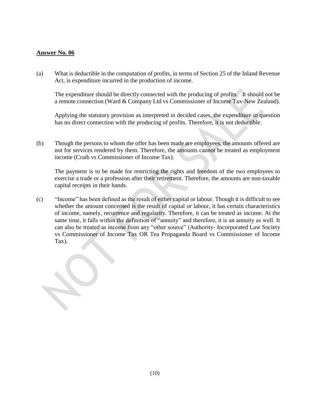#### **Answer No. 06**

(a) What is deductible in the computation of profits, in terms of Section 25 of the Inland Revenue Act, is expenditure incurred in the production of income.

The expenditure should be directly connected with the producing of profits. It should not be a remote connection (Ward & Company Ltd vs Commissioner of Income Tax-New Zealand).

Applying the statutory provision as interpreted in decided cases, the expenditure in question has no direct connection with the producing of profits. Therefore, it is not deductible.

(b) Though the persons to whom the offer has been made are employees, the amounts offered are not for services rendered by them. Therefore, the amounts cannot be treated as employment income (Craib vs Commissioner of Income Tax).

The payment is to be made for restricting the rights and freedom of the two employees to exercise a trade or a profession after their retirement. Therefore, the amounts are non-taxable capital receipts in their hands.

(c) "Income" has been defined as the result of either capital or labour. Though it is difficult to see whether the amount concerned is the result of capital or labour, it has certain characteristics of income, namely, recurrence and regularity. Therefore, it can be treated as income. At the same time, it falls within the definition of "annuity" and therefore, it is an annuity as well. It can also be treated as income from any "other source" (Authority- Incorporated Law Society vs Commissioner of Income Tax OR Tea Propaganda Board vs Commissioner of Income Tax).